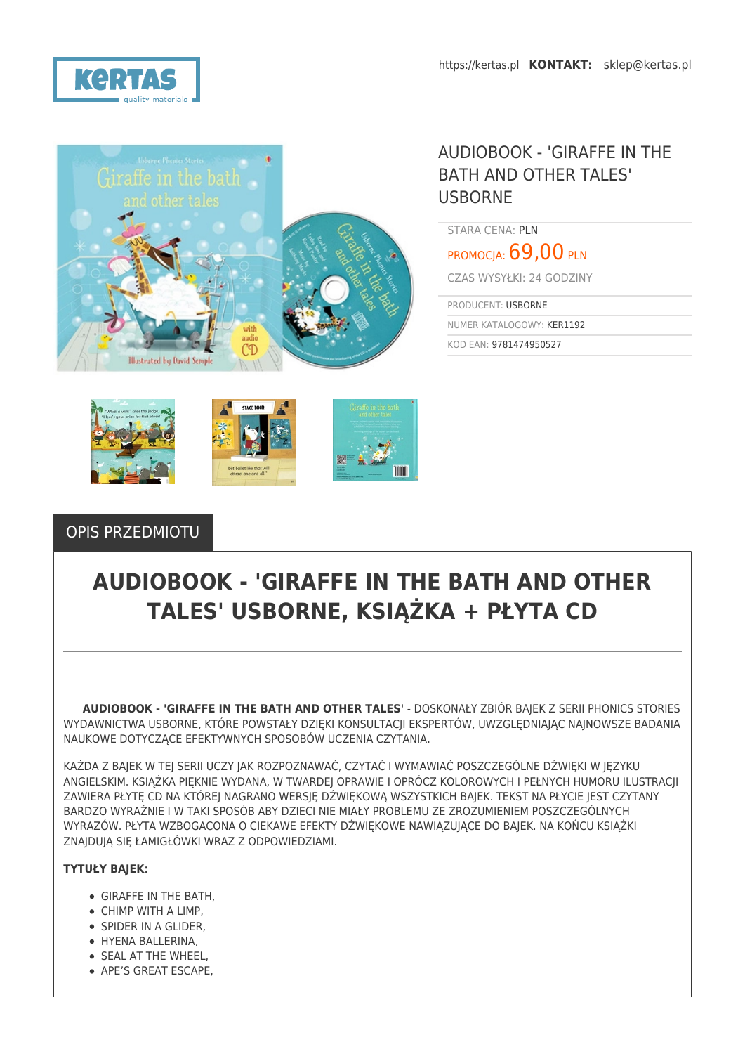



## AUDIOBOOK - 'GIRAFFE IN THE BATH AND OTHER TALES' USBORNE

STARA CENA: PLN

PROMOCIA: 69,00 PLN

CZAS WYSYŁKI: 24 GODZINY

PRODUCENT: USBORNE NUMER KATALOGOWY: KER1192

KOD EAN: 9781474950527



### OPIS PRZEDMIOTU

# **AUDIOBOOK - 'GIRAFFE IN THE BATH AND OTHER TALES' USBORNE, KSIĄŻKA + PŁYTA CD**

 **AUDIOBOOK - 'GIRAFFE IN THE BATH AND OTHER TALES'** - DOSKONAŁY ZBIÓR BAJEK Z SERII PHONICS STORIES WYDAWNICTWA USBORNE, KTÓRE POWSTAŁY DZIĘKI KONSULTACJI EKSPERTÓW, UWZGLĘDNIAJĄC NAJNOWSZE BADANIA NAUKOWE DOTYCZĄCE EFEKTYWNYCH SPOSOBÓW UCZENIA CZYTANIA.

KAŻDA Z BAJEK W TEJ SERII UCZY JAK ROZPOZNAWAĆ, CZYTAĆ I WYMAWIAĆ POSZCZEGÓLNE DŹWIĘKI W JĘZYKU ANGIELSKIM. KSIĄŻKA PIĘKNIE WYDANA, W TWARDEJ OPRAWIE I OPRÓCZ KOLOROWYCH I PEŁNYCH HUMORU ILUSTRACJI ZAWIERA PŁYTĘ CD NA KTÓREJ NAGRANO WERSJĘ DŹWIĘKOWĄ WSZYSTKICH BAJEK. TEKST NA PŁYCIE JEST CZYTANY BARDZO WYRAŹNIE I W TAKI SPOSÓB ABY DZIECI NIE MIAŁY PROBLEMU ZE ZROZUMIENIEM POSZCZEGÓLNYCH WYRAZÓW. PŁYTA WZBOGACONA O CIEKAWE EFEKTY DŹWIĘKOWE NAWIĄZUJĄCE DO BAJEK. NA KOŃCU KSIĄŻKI ZNAJDUJĄ SIĘ ŁAMIGŁÓWKI WRAZ Z ODPOWIEDZIAMI.

#### **TYTUŁY BAJEK:**

- GIRAFFE IN THE BATH,
- CHIMP WITH A LIMP,
- SPIDER IN A GLIDER,
- HYENA BALLERINA,
- **SEAL AT THE WHEEL.**
- APE'S GREAT ESCAPE.